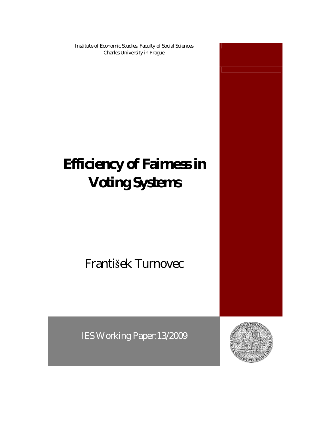Institute of Economic Studies, Faculty of Social Sciences Charles University in Prague

# **Efficiency of Fairness in Voting Systems**

## František Turnovec

IES Working Paper:13/2009



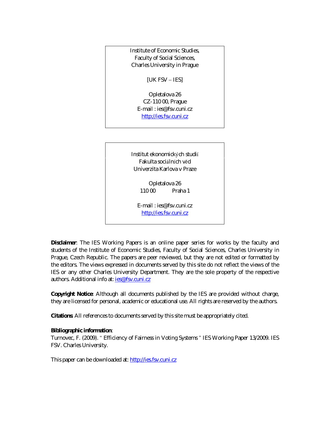Institute of Economic Studies, Faculty of Social Sciences, Charles University in Prague

[UK FSV – IES]

Opletalova 26 CZ-110 00, Prague E-mail : ies@fsv.cuni.cz http://ies.fsv.cuni.cz

Institut ekonomických studií Fakulta sociálních věd Univerzita Karlova v Praze

> Opletalova 26 110 00 Praha 1

E-mail : ies@fsv.cuni.cz http://ies.fsv.cuni.cz

**Disclaimer**: The IES Working Papers is an online paper series for works by the faculty and students of the Institute of Economic Studies, Faculty of Social Sciences, Charles University in Prague, Czech Republic. The papers are peer reviewed, but they are *not* edited or formatted by the editors. The views expressed in documents served by this site do not reflect the views of the IES or any other Charles University Department. They are the sole property of the respective authors. Additional info at: ies@fsv.cuni.cz

**Copyright Notice**: Although all documents published by the IES are provided without charge, they are licensed for personal, academic or educational use. All rights are reserved by the authors.

**Citations**: All references to documents served by this site must be appropriately cited.

**Bibliographic information**:

Turnovec, F. (2009). " Efficiency of Fairness in Voting Systems " IES Working Paper 13/2009. IES FSV. Charles University.

This paper can be downloaded at: http://ies.fsv.cuni.cz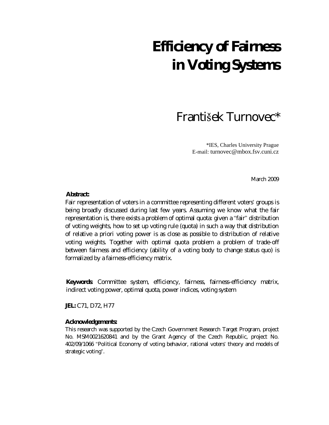## **Efficiency of Fairness in Voting Systems**

### František Turnovec\*

\*IES, Charles University Prague E-mail: turnovec@mbox.fsv.cuni.cz

March 2009

**Abstract:**

Fair representation of voters in a committee representing different voters' groups is being broadly discussed during last few years. Assuming we know what the fair representation is, there exists a problem of optimal quota: given a "fair" distribution of voting weights, how to set up voting rule (quota) in such a way that distribution of relative a priori voting power is as close as possible to distribution of relative voting weights. Together with optimal quota problem a problem of trade-off between fairness and efficiency (ability of a voting body to change status quo) is formalized by a fairness-efficiency matrix.

**Keywords**: Committee system, efficiency, fairness, fairness-efficiency matrix, indirect voting power, optimal quota, power indices, voting system

**JEL:** C71, D72, H77

**Acknowledgements:**

This research was supported by the Czech Government Research Target Program, project No. MSM0021620841 and by the Grant Agency of the Czech Republic, project No. 402/09/1066 "Political Economy of voting behavior, rational voters' theory and models of strategic voting".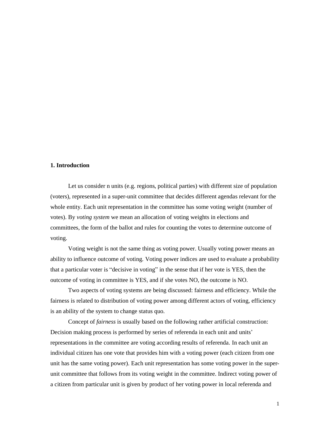#### **1. Introduction**

Let us consider n units (e.g. regions, political parties) with different size of population (voters), represented in a super-unit committee that decides different agendas relevant for the whole entity. Each unit representation in the committee has some voting weight (number of votes). By *voting system* we mean an allocation of voting weights in elections and committees, the form of the ballot and rules for counting the votes to determine outcome of voting.

Voting weight is not the same thing as voting power. Usually voting power means an ability to influence outcome of voting. Voting power indices are used to evaluate a probability that a particular voter is " decisive in voting" in the sense that if her vote is YES, then the outcome of voting in committee is YES, and if she votes NO, the outcome is NO.

Two aspects of voting systems are being discussed: fairness and efficiency. While the fairness is related to distribution of voting power among different actors of voting, efficiency is an ability of the system to change status quo.

Concept of *fairness* is usually based on the following rather artificial construction: Decision making process is performed by series of referenda in each unit and units' representations in the committee are voting according results of referenda. In each unit an individual citizen has one vote that provides him with a voting power (each citizen from one unit has the same voting power). Each unit representation has some voting power in the superunit committee that follows from its voting weight in the committee. Indirect voting power of a citizen from particular unit is given by product of her voting power in local referenda and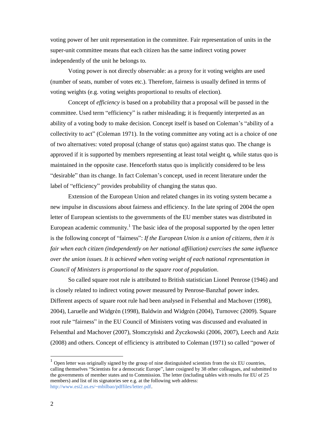voting power of her unit representation in the committee. Fair representation of units in the super-unit committee means that each citizen has the same indirect voting power independently of the unit he belongs to.

Voting power is not directly observable: as a proxy for it voting weights are used (number of seats, number of votes etc.). Therefore, fairness is usually defined in terms of voting weights (e.g. voting weights proportional to results of election).

Concept of *efficiency* is based on a probability that a proposal will be passed in the committee. Used term "efficiency" is rather misleading; it is frequently interpreted as an ability of a voting body to make decision. Concept itself is based on Coleman's " ability of a collectivity to act" (Coleman 1971). In the voting committee any voting act is a choice of one of two alternatives: voted proposal (change of status quo) against status quo. The change is approved if it is supported by members representing at least total weight q, while status quo is maintained in the opposite case. Henceforth status quo is implicitly considered to be less " desirable" than its change. In fact Coleman's concept, used in recent literature under the label of "efficiency" provides probability of changing the status quo.

Extension of the European Union and related changes in its voting system became a new impulse in discussions about fairness and efficiency. In the late spring of 2004 the open letter of European scientists to the governments of the EU member states was distributed in European academic community.<sup>1</sup> The basic idea of the proposal supported by the open letter is the following concept of " fairness": *If the European Union is a union of citizens, then it is fair when each citizen (independently on her national affiliation) exercises the same influence over the union issues. It is achieved when voting weight of each national representation in Council of Ministers is proportional to the square root of population*.

So called square root rule is attributed to British statistician Lionel Penrose (1946) and is closely related to indirect voting power measured by Penrose-Banzhaf power index. Different aspects of square root rule had been analysed in Felsenthal and Machover (1998), 2004), Laruelle and Widgrén (1998), Baldwin and Widgrén (2004), Turnovec (2009). Square root rule "fairness" in the EU Council of Ministers voting was discussed and evaluated in Felsenthal and Machover (2007), Słomczyński and Życzkowski (2006, 2007), Leech and Aziz (2008) and others. Concept of efficiency is attributed to Coleman (1971) so called " power of

-

 $<sup>1</sup>$  Open letter was originally signed by the group of nine distinguished scientists from the six EU countries,</sup> calling themselves "Scientists for a democratic Europe", later cosigned by 38 other colleagues, and submitted to the governments of member states and to Commission. The letter (including tables with results for EU of 25 members) and list of its signatories see e.g. at the following web address: http://www.esi2.us.es/~mbilbao/pdffiles/letter.pdf.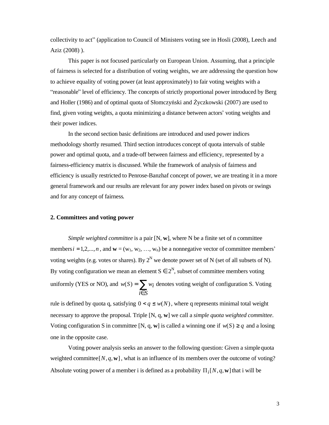collectivity to act" (application to Council of Ministers voting see in Hosli (2008), Leech and Aziz (2008) ).

This paper is not focused particularly on European Union. Assuming, that a principle of fairness is selected for a distribution of voting weights, we are addressing the question how to achieve equality of voting power (at least approximately) to fair voting weights with a " reasonable" level of efficiency. The concepts of strictly proportional power introduced by Berg and Holler (1986) and of optimal quota of Słomczyński and Życzkowski (2007) are used to find, given voting weights, a quota minimizing a distance between actors'voting weights and their power indices.

In the second section basic definitions are introduced and used power indices methodology shortly resumed. Third section introduces concept of quota intervals of stable power and optimal quota, and a trade-off between fairness and efficiency, represented by a fairness-efficiency matrix is discussed. While the framework of analysis of fairness and efficiency is usually restricted to Penrose-Banzhaf concept of power, we are treating it in a more general framework and our results are relevant for any power index based on pivots or swings and for any concept of fairness.

#### **2. Committees and voting power**

*Simple weighted committee* is a pair [N, **w**], where N be a finite set of n committee members  $i = 1, 2, ..., n$ , and  $\mathbf{w} = (w_1, w_2, ..., w_n)$  be a nonnegative vector of committee members' voting weights (e.g. votes or shares). By  $2^N$  we denote power set of N (set of all subsets of N). By voting configuration we mean an element  $S \in 2^N$ , subset of committee members voting uniformly (YES or NO), and  $w(S) = \sum$ ∈ = *i S*  $w(S) = \sum w_i$  denotes voting weight of configuration S. Voting

rule is defined by quota q, satisfying  $0 < q \leq w(N)$ , where q represents minimal total weight necessary to approve the proposal. Triple [N, q, **w**] we call a *simple quota weighted committee*. Voting configuration S in committee [N, q, w] is called a winning one if  $w(S) \geq q$  and a losing one in the opposite case.

Voting power analysis seeks an answer to the following question: Given a simplequota weighted committee [ $N$ ,  $q$ ,  $w$ ], what is an influence of its members over the outcome of voting? Absolute voting power of a member i is defined as a probability  $\Pi_i[N,q,\mathbf{w}]$  that i will be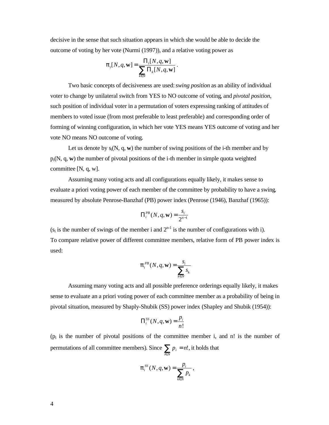decisive in the sense that such situation appears in which she would be able to decide the outcome of voting by her vote (Nurmi (1997)), and a relative voting power as

$$
\boldsymbol{p}_i[N,q,\mathbf{w}] = \frac{\Pi_i[N,q,\mathbf{w}]}{\sum_{k \in N} \Pi_k[N,q,\mathbf{w}]}.
$$

Two basic concepts of decisiveness are used:*swing position* as an ability of individual voter to change by unilateral switch from YES to NO outcome of voting, and *pivotal position*, such position of individual voter in a permutation of voters expressing ranking of attitudes of members to voted issue (from most preferable to least preferable) and corresponding order of forming of winning configuration, in which her vote YES means YES outcome of voting and her vote NO means NO outcome of voting.

Let us denote by  $s_i(N, q, w)$  the number of swing positions of the i-th member and by pi(N, q, **w**) the number of pivotal positions of the i-th member in simple quota weighted committee [N, q, w].

Assuming many voting acts and all configurations equally likely, it makes sense to evaluate a priori voting power of each member of the committee by probability to have a swing, measured by absolute Penrose-Banzhaf (PB) power index (Penrose (1946), Banzhaf (1965)):

$$
\Pi_i^{PB}(N,q,\mathbf{w})=\frac{s_i}{2^{n-1}}
$$

 $(s_i$  is the number of swings of the member i and  $2^{n-1}$  is the number of configurations with i). To compare relative power of different committee members, relative form of PB power index is used:

$$
p_i^{PB}(N,q,\mathbf{w}) = \frac{s_i}{\sum_{k \in N} s_k}
$$

Assuming many voting acts and all possible preference orderings equally likely, it makes sense to evaluate an a priori voting power of each committee member as a probability of being in pivotal situation, measured by Shaply-Shubik (SS) power index (Shapley and Shubik (1954)):

$$
\Pi_i^{SS}(N,q,\mathbf{w}) = \frac{p_i}{n!}
$$

 $(p_i)$  is the number of pivotal positions of the committee member i, and n! is the number of permutations of all committee members). Since  $\sum_{i \in N} p_i =$  $\sum_{i \in N} p_i = n!$ , it holds that

$$
p_i^{SS}(N,q,\mathbf{w}) = \frac{p_i}{\sum_{k \in N} p_k},
$$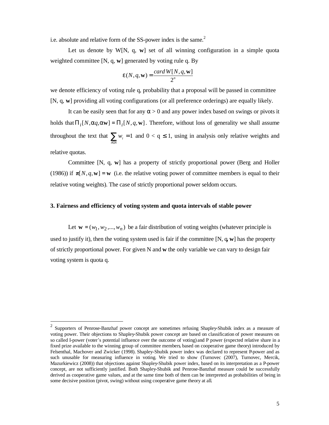i.e. absolute and relative form of the SS-power index is the same.<sup>2</sup>

Let us denote by W[N, q, **w**] set of all winning configuration in a simple quota weighted committee [N, q, **w**] generated by voting rule q. By

$$
e(N, q, \mathbf{w}) = \frac{card W[N, q, \mathbf{w}]}{2^n}
$$

we denote efficiency of voting rule q, probability that a proposal will be passed in committee [N, q, **w**] providing all voting configurations (or all preference orderings) are equally likely.

It can be easily seen that for any  $\alpha > 0$  and any power index based on swings or pivots it holds that  $\Pi_i[N, aq, a\mathbf{w}] = \Pi_i[N, q, \mathbf{w}]$ . Therefore, without loss of generality we shall assume throughout the text that  $\sum_{i \in N} w_i =$  $\sum_{i \in N} w_i = 1$  and  $0 < q \le 1$ , using in analysis only relative weights and

relative quotas.

-

Committee [N, q, **w**] has a property of strictly proportional power (Berg and Holler (1986)) if  $\pi[N,q,\mathbf{w}] = \mathbf{w}$  (i.e. the relative voting power of committee members is equal to their relative voting weights). The case of strictly proportional power seldom occurs.

#### **3. Fairness and efficiency of voting system and quota intervals of stable power**

Let  $\mathbf{w} = (w_1, w_2, ..., w_n)$  be a fair distribution of voting weights (whatever principle is used to justify it), then the voting system used is fair if the committee [N, q**, w**] has the property of strictly proportional power. For given N and **w** the only variable we can vary to design fair voting system is quota q.

<sup>2</sup> Supporters of Penrose-Banzhaf power concept are sometimes refusing Shapley-Shubik index as a measure of voting power. Their objections to Shapley-Shubik power concept are based on classification of power measures on so called I-power (voter's potential influence over the outcome of voting) and P power (expected relative share in a fixed prize available to the winning group of committee members, based on cooperative game theory) introduced by Felsenthal, Machover and Zwicker (1998). Shapley-Shubik power index was declared to represent P-power and as such unusable for measuring influence in voting. We tried to show (Turnovec (2007), Turnovec, Mercik, Mazurkiewicz (2008)) that objections against Shapley-Shubik power index, based on its interpretation as a P-power concept, are not sufficiently justified. Both Shapley-Shubik and Penrose-Banzhaf measure could be successfully derived as cooperative game values, and at the same time both of them can be interpreted as probabilities of being in some decisive position (pivot, swing) without using cooperative game theory at all.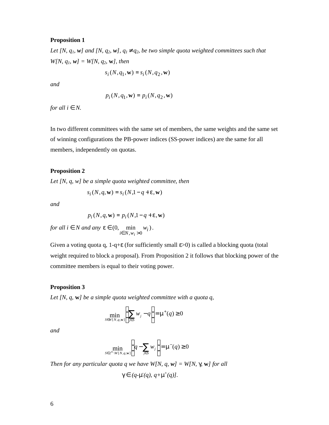#### **Proposition 1**

Let [N,  $q_1$ , w] and [N,  $q_2$ , w],  $q_1$ <sup>1</sup> $q_2$ , be two simple quota weighted committees such that *W[N, q1, w] = W[N, q2,* **w***], then*

$$
s_i(N, q_1, \mathbf{w}) = s_i(N, q_2, \mathbf{w})
$$

*and*

$$
p_i(N, q_1, \mathbf{w}) = p_i(N, q_2, \mathbf{w})
$$

*for all i Î N.*

In two different committees with the same set of members, the same weights and the same set of winning configurations the PB-power indices (SS-power indices) are the same for all members, independently on quotas.

#### **Proposition 2**

*Let [N, q, w] be a simple quota weighted committee, then* 

$$
s_i(N, q, \mathbf{w}) = s_i(N, 1 - q + e, \mathbf{w})
$$

*and*

$$
p_i(N, q, \mathbf{w}) = p_i(N, 1 - q + e, \mathbf{w})
$$

*for all i*  $\overline{I}$  *N and any*  $e \in (0, \text{min } w_i)$  $\min_{i \in N, w_i > 0} w_i$ *w*  $\in N, w_i$  $e \in (0, \text{min } w_i).$ 

Given a voting quota q, 1-q+ε (for sufficiently small ε>0) is called a blocking quota (total weight required to block a proposal). From Proposition 2 it follows that blocking power of the committee members is equal to their voting power.

#### **Proposition 3**

*Let [N, q,* **w***] be a simple quota weighted committee with a quota q,*

$$
\min_{S \in W[N,q,w]} \left( \sum_{j \in S} w_j - q \right) = \mathbf{m}^+(q) \ge 0
$$

*and*

$$
\min_{S \in 2^N \setminus W[N,q,\mathbf{w}]} \left( q - \sum_{j \in S} w_j \right) = \mathbf{m}^-(q) \ge 0
$$

*Then for any particular quota q we have W[N, q, w] = W[N, g,* **w***] for all*

$$
g\,\widehat{I}\,\left(q\text{-m}(q),\,q\text{+m}^+(q)\right].
$$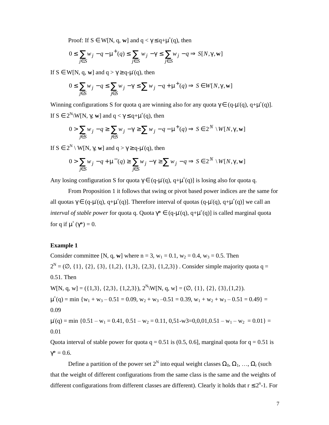Proof: If  $S \in W[N, q, w]$  and  $q < \gamma \leq q + \mu^+(q)$ , then

$$
0 \le \sum_{j \in S} w_j - q - \mathbf{m}^+(q) \le \sum_{j \in S} w_j - g \le \sum_{j \in S} w_j - q \Rightarrow S[N, g, \mathbf{w}]
$$

If  $S \in W[N, q, w]$  and  $q > \gamma \ge q - \mu(q)$ , then

$$
0 \le \sum_{j \in S} w_j - q \le \sum_{j \in S} w_j - g \le \sum w_j - q + m^+(q) \Rightarrow S \in W[N,g,\mathbf{w}]
$$

Winning configurations S for quota q are winning also for any quota  $\gamma \in (q-\mu^-(q), q+\mu^+(q))$ . If  $S \in 2^N \setminus W[N, \gamma, w]$  and  $q < \gamma \leq q + \mu^+(q)$ , then

$$
0 > \sum_{j \in S} w_j - q \ge \sum_{j \in S} w_j - g \ge \sum w_j - q - m^+(q) \Rightarrow S \in 2^N \setminus W[N, g, \mathbf{w}]
$$

If S ∈ 2<sup>N</sup> \ W[N, γ, **w**] and q > γ ≥ q-μ (q), then

$$
0 > \sum_{j \in S} w_j - q + m^-(q) \ge \sum_{j \in S} w_j - g \ge \sum w_j - q \Rightarrow S \in 2^N \setminus W[N, g, \mathbf{w}]
$$

Any losing configuration S for quota  $\gamma \in (q-\mu(q), q+\mu^+(q))$  is losing also for quota  $q.\bullet$ 

From Proposition 1 it follows that swing or pivot based power indices are the same for all quotas  $\gamma \in (q-\mu(q), q+\mu^+(q)]$ . Therefore interval of quotas  $(q-\mu(q), q+\mu^+(q)]$  we call an *interval of stable power* for quota q. Quota  $\gamma^* \in (q-\mu^*(q), q+\mu^+(q))$  is called marginal quota for q if  $\mu^+(\gamma^*) = 0$ .

#### **Example 1**

Consider committee [N, q, w] where  $n = 3$ ,  $w_1 = 0.1$ ,  $w_2 = 0.4$ ,  $w_3 = 0.5$ . Then  $2^N = (\emptyset, \{1\}, \{2\}, \{3\}, \{1,2\}, \{1,3\}, \{2,3\}, \{1,2,3\})$ . Consider simple majority quota q = 0.51. Then  $W[N, q, w] = (\{1,3\}, \{2,3\}, \{1,2,3\}), 2^N \setminus W[N, q, w] = (\emptyset, \{1\}, \{2\}, \{3\}, \{1,2\}).$  $\mu^+(q) = \min \{w_1 + w_3 - 0.51 = 0.09, w_2 + w_3 - 0.51 = 0.39, w_1 + w_2 + w_3 - 0.51 = 0.49\} =$ 0.09  $\mu$ <sup>-</sup>(q) = min {0.51 – w<sub>1</sub> = 0.41, 0.51 – w<sub>2</sub> = 0.11, 0,51-w3=0,0,01,0.51 – w<sub>1</sub> – w<sub>2</sub> = 0.01} = 0.01

Quota interval of stable power for quota  $q = 0.51$  is (0.5, 0.6], marginal quota for  $q = 0.51$  is  $γ^* = 0.6$ .

Define a partition of the power set  $2^N$  into equal weight classes  $\Omega_0, \Omega_1, ..., \Omega_r$  (such that the weight of different configurations from the same class is the same and the weights of different configurations from different classes are different). Clearly it holds that  $r \leq 2^n$ -1. For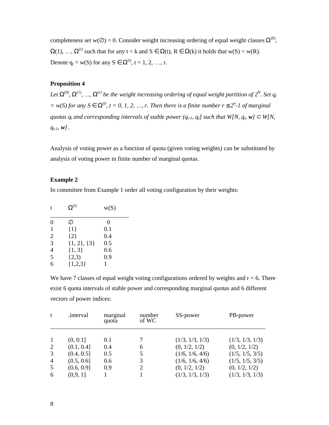completeness set w( $\emptyset$ ) = 0. Consider weight increasing ordering of equal weight classes  $\Omega^{(0)}$ ,  $\Omega(1), \ldots, \Omega^{(r)}$  such that for any  $t < k$  and  $S \in \Omega(t)$ ,  $R \in \Omega(k)$  it holds that  $w(S) < w(R)$ . Denote  $q_t = w(S)$  for any  $S \in \Omega^{(t)}$ ,  $t = 1, 2, ..., r$ .

#### **Proposition 4**

Let  $W^{(0)}, W^{(1)}, ..., W^{(r)}$  be the weight increasing ordering of equal weight partition of  $2^N$ . Set  $q_i$  $y = w(S)$  for any S  $\hat{I}$  W<sup>t)</sup>,  $t = 0, 1, 2, ..., r$ . Then there is a finite number r £  $2<sup>n</sup>$ -1 of marginal quotas  $q_t$  and corresponding intervals of stable power ( $q_{t-1}$ ,  $q_t$ ] such that W[N,  $q_t$ , w]  $\tilde{I}$  W[N, *qt-1, w].*

Analysis of voting power as a function of quota (given voting weights) can be substituted by analysis of voting power in finite number of marginal quotas.

#### **Example 2**

In committee from Example 1 order all voting configuration by their weights:

| t              | $\Omega^{(t)}$    | w(S) |
|----------------|-------------------|------|
| $\theta$       | Ø                 | 0    |
| 1              | ${1}$             | 0.1  |
| $\overline{2}$ | ${2}$             | 0.4  |
| 3              | $\{1, 2\}, \{3\}$ | 0.5  |
| $\overline{4}$ | $\{1, 3\}$        | 0.6  |
| $\overline{5}$ | (2,3)             | 0.9  |
| 6              | ${1,2,3}$         |      |

We have 7 classes of equal weight voting configurations ordered by weights and  $r = 6$ . There exist 6 quota intervals of stable power and corresponding marginal quotas and 6 different vectors of power indices:

| t              | .interval  | marginal<br>quota | number<br>of WC | SS-power        | PB-power        |
|----------------|------------|-------------------|-----------------|-----------------|-----------------|
| -1             | (0, 0.1]   | 0.1               |                 | (1/3, 1/3, 1/3) | (1/3, 1/3, 1/3) |
| 2              | (0.1, 0.4] | 0.4               | 6               | (0, 1/2, 1/2)   | (0, 1/2, 1/2)   |
| 3              | (0.4, 0.5] | 0.5               | 5               | (1/6, 1/6, 4/6) | (1/5, 1/5, 3/5) |
| $\overline{4}$ | (0.5, 0.6] | 0.6               | 3               | (1/6, 1/6, 4/6) | (1/5, 1/5, 3/5) |
| 5              | (0.6, 0.9] | 0.9               | 2               | (0, 1/2, 1/2)   | (0, 1/2, 1/2)   |
| 6              | (0,9,1]    |                   |                 | (1/3, 1/3, 1/3) | (1/3, 1/3, 1/3) |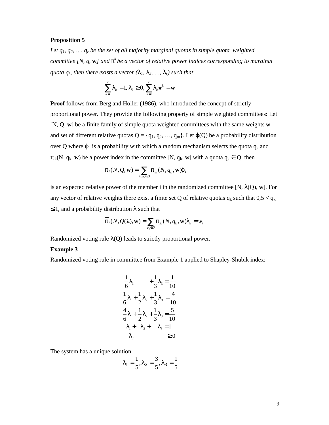#### **Proposition 5**

*Let q<sub>1</sub>*,  $q_2$ ,  $\ldots$ ,  $q_r$  *be the set of all majority marginal quotas in simple quota weighted committee [N, q, w] and*  $p^k$  *be a vector of relative power indices corresponding to marginal quota*  $q_k$ *, then there exists a vector*  $(l_l, l_2, ..., l_r)$  *such that* 

$$
\sum_{k=1}^{r} I_k = 1, I_k \ge 0, \sum_{k=1}^{r} I_k \pi^k = \mathbf{w}
$$

**Proof** follows from Berg and Holler (1986), who introduced the concept of strictly proportional power. They provide the following property of simple weighted committees: Let [N, Q, **w**] be a finite family of simple quota weighted committees with the same weights **w** and set of different relative quotas  $Q = \{q_1, q_2, ..., q_m\}$ . Let  $j(Q)$  be a probability distribution over Q where  $\varphi_k$  is a probability with which a random mechanism selects the quota  $q_k$  and  $\pi_{ik}(N, q_k, w)$  be a power index in the committee [N,  $q_k$ , w] with a quota  $q_k \in Q$ , then

$$
\overline{p}_i(N, Q, \mathbf{w}) = \sum_{k: q_k \in Q} p_{ik}(N, q_k, \mathbf{w})j_k
$$

is an expected relative power of the member i in the randomized committee  $[N, l(Q), w]$ . For any vector of relative weights there exist a finite set Q of relative quotas  $q_k$  such that  $0.5 < q_k$ ≤ 1, and a probability distribution **l** such that

$$
\overline{p}_i(N, Q(\lambda), \mathbf{w}) = \sum_{q_k \in Q} p_{ik}(N, q_k, \mathbf{w}) I_k = w_i
$$

Randomized voting rule **l**(Q) leads to strictly proportional power.

#### **Example 3**

Randomized voting rule in committee from Example 1 applied to Shapley-Shubik index:

$$
\frac{1}{6}I_1 + \frac{1}{3}I_3 = \frac{1}{10}
$$
  
\n
$$
\frac{1}{6}I_1 + \frac{1}{2}I_2 + \frac{1}{3}I_3 = \frac{4}{10}
$$
  
\n
$$
\frac{4}{6}I_1 + \frac{1}{2}I_2 + \frac{1}{3}I_3 = \frac{5}{10}
$$
  
\n
$$
I_1 + I_2 + I_3 = 1
$$
  
\n
$$
I_j \ge 0
$$

The system has a unique solution

$$
I_1 = \frac{1}{5}, I_2 = \frac{3}{5}, I_3 = \frac{1}{5}
$$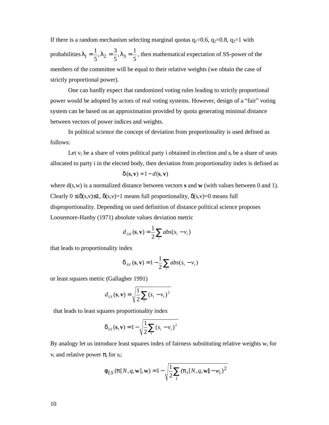If there is a random mechanism selecting marginal quotas  $q_1=0.6$ ,  $q_2=0.8$ ,  $q_3=1$  with probabilities 5  $I_3 = \frac{1}{1}$ 5  $I_2 = \frac{3}{5}$ 5  $I_1 = \frac{1}{5}$ ,  $I_2 = \frac{3}{5}$ ,  $I_3 = \frac{1}{5}$ , then mathematical expectation of SS-power of the members of the committee will be equal to their relative weights (we obtain the case of strictly proportional power).

One can hardly expect that randomized voting rules leading to strictly proportional power would be adopted by actors of real voting systems. However, design of a " fair" voting system can be based on an approximation provided by quota generating minimal distance between vectors of power indices and weights.

In political science the concept of deviation from proportionality is used defined as follows:

Let  $v_i$  be a share of votes political party i obtained in election and  $s_i$  be a share of seats allocated to party i in the elected body, then deviation from proportionality index is defined as

$$
d(\mathbf{s}, \mathbf{v}) = 1 - d(\mathbf{s}, \mathbf{v})
$$

where d(s,w) is a normalized distance between vectors **s** and **w** (with values between 0 and 1). Clearly  $0 \le \delta(s, v) \le 1$ ,  $\delta(s, v) = 1$  means full proportionality,  $\delta(s, v) = 0$  means full disproportionality. Depending on used definition of distance political science proposes Loosemore-Hanby (1971) absolute values deviation metric

$$
d_{LH}(\mathbf{s}, \mathbf{v}) = \frac{1}{2} \sum_{i} abs(s_i - v_i)
$$

that leads to proportionality index

$$
d_{AV}(\mathbf{s}, \mathbf{v}) = 1 - \frac{1}{2} \sum_{i} abs(s_i - v_i)
$$

or least squares metric (Gallagher 1991)

$$
d_{LS}(\mathbf{s}, \mathbf{v}) = \sqrt{\frac{1}{2} \sum_{i} (s_i - v_i)^2}
$$

that leads to least squares proportionality index

$$
d_{LS}(\mathbf{s}, \mathbf{v}) = 1 - \sqrt{\frac{1}{2} \sum_{i} (s_i - v_i)^2}
$$

By analogy let us introduce least squares index of fairness substituting relative weights  $w_i$  for  $v_i$  and relative power  $\pi_i$  for  $s_i$ :

$$
f_{LS} (p[N, q, \mathbf{w}], \mathbf{w}) = 1 - \sqrt{\frac{1}{2} \sum_{i} (p_i[N, q, \mathbf{w}] - w_i)^2}
$$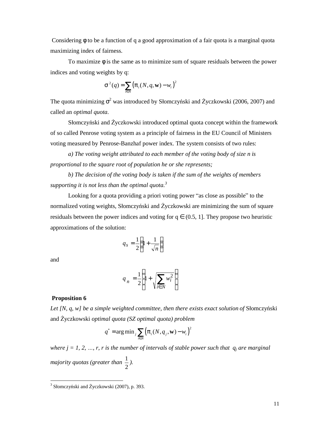Considering φ to be a function of q a good approximation of a fair quota is a marginal quota maximizing index of fairness.

To maximize  $\phi$  is the same as to minimize sum of square residuals between the power indices and voting weights by q:

$$
\mathbf{S}^{2}(q) = \sum_{i \in N} (p_i(N, q, \mathbf{w}) - w_i)^2
$$

The quota minimizing  $\sigma^2$  was introduced by Słomczyński and Życzkowski (2006, 2007) and called an *optimal quota*.

Słomczyński and Życzkowski introduced optimal quota concept within the framework of so called Penrose voting system as a principle of fairness in the EU Council of Ministers voting measured by Penrose-Banzhaf power index. The system consists of two rules:

*a) The voting weight attributed to each member of the voting body of size n is proportional to the square root of population he or she represents;*

*b) The decision of the voting body is taken if the sum of the weights of members supporting it is not less than the optimal quota. 3*

Looking for a quota providing a priori voting power "as close as possible" to the normalized voting weights, Słomczyński and Życzkowski are minimizing the sum of square residuals between the power indices and voting for  $q \in (0.5, 1]$ . They propose two heuristic approximations of the solution:

$$
q_s = \frac{1}{2} \left( 1 + \frac{1}{\sqrt{n}} \right)
$$

and

-

$$
q_n = \frac{1}{2} \left( 1 + \sqrt{\sum_{i \in N} w_i^2} \right)
$$

#### **Proposition 6**

*Let [N, q, w] be a simple weighted committee, then there exists exact solution of* Słomczyński and Życzkowski *optimal quota (SZ optimal quota) problem*

$$
q^* = \arg\min_j \sum_{i \in N} (p_i(N, q_j, \mathbf{w}) - w_i)^2
$$

*where*  $j = 1, 2, ..., r$ *, r is the number of intervals of stable power such that*  $q_j$  *are marginal majority quotas (greater than*  2  $\frac{1}{2}$ .

<sup>&</sup>lt;sup>3</sup> Słomczyński and Życzkowski (2007), p. 393.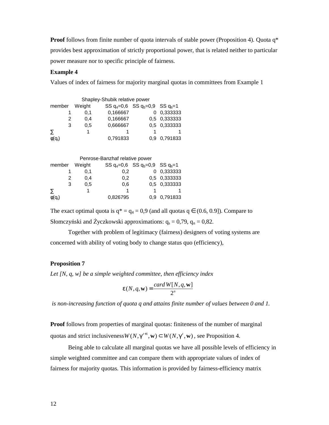**Proof** follows from finite number of quota intervals of stable power (Proposition 4). Quota q<sup>\*</sup> provides best approximation of strictly proportional power, that is related neither to particular power measure nor to specific principle of fairness.

#### **Example 4**

Values of index of fairness for majority marginal quotas in committees from Example 1

|                      |        | Shapley-Shubik relative power |                                            |              |
|----------------------|--------|-------------------------------|--------------------------------------------|--------------|
| member               | Weight |                               | SS $q_4 = 0.6$ SS $q_5 = 0.9$ SS $q_6 = 1$ |              |
|                      | 0.1    | 0.166667                      |                                            | 0 0,333333   |
| 2                    | 0.4    | 0,166667                      |                                            | 0,5 0,333333 |
| 3                    | 0.5    | 0,666667                      |                                            | 0,5 0,333333 |
|                      |        |                               |                                            |              |
| $\phi(\mathsf{q}_t)$ |        | 0,791833                      | $0.9 -$                                    | 0,791833     |

|        |        | Penrose-Banzhaf relative power |                                            |              |
|--------|--------|--------------------------------|--------------------------------------------|--------------|
| member | Weight |                                | SS $q_4 = 0.6$ SS $q_5 = 0.9$ SS $q_6 = 1$ |              |
|        | 0.1    | 0.2 <sub>0</sub>               |                                            | 0 0,333333   |
|        | 0.4    | 0.2                            |                                            | 0,5 0,333333 |
| 3      | 0.5    | 0.6                            |                                            | 0,5 0,333333 |
|        |        |                                |                                            |              |
| ტ(a.   |        | 0.826795                       | 0.9                                        | 0.791833     |

The exact optimal quota is  $q^* = q_4 = 0.9$  (and all quotas  $q \in (0.6, 0.9]$ ). Compare to Słomczyński and Życzkowski approximations:  $q_s = 0.79$ ,  $q_n = 0.82$ .

Together with problem of legitimacy (fairness) designers of voting systems are concerned with ability of voting body to change status quo (efficiency),

#### **Proposition 7**

*Let [N, q, w] be a simple weighted committee, then efficiency index*

$$
e(N, q, \mathbf{w}) = \frac{\operatorname{card} W[N, q, \mathbf{w}]}{2^n}
$$

 *is non-increasing function of quota q and attains finite number of values between 0 and 1.*

**Proof** follows from properties of marginal quotas: finiteness of the number of marginal quotas and strict inclusiveness  $W(N, g^{t+1}, w) \subset W(N, g^t, w)$ , see Proposition 4.

Being able to calculate all marginal quotas we have all possible levels of efficiency in simple weighted committee and can compare them with appropriate values of index of fairness for majority quotas. This information is provided by fairness-efficiency matrix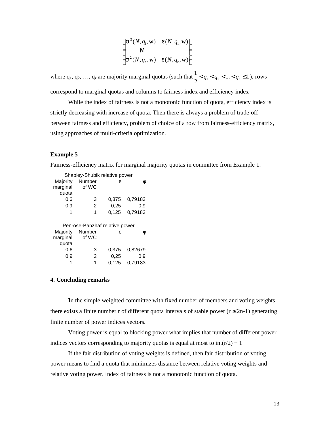$$
\begin{pmatrix}\n\mathbf{s}^{2}(N, q_{1}, \mathbf{w}) & e(N, q_{1}, \mathbf{w}) \\
\mathbf{M} & \mathbf{s}^{2}(N, q_{r}, \mathbf{w}) & e(N, q_{r}, \mathbf{w})\n\end{pmatrix}
$$

where  $q_1, q_2, ..., q_r$  are majority marginal quotas (such that  $\frac{1}{2} < q_1 < q_2 < ... < q_r \le 1$  $\frac{1}{2} < q_1 < q_2 < ... < q_r \le 1$ ), rows correspond to marginal quotas and columns to fairness index and efficiency index

While the index of fairness is not a monotonic function of quota, efficiency index is strictly decreasing with increase of quota. Then there is always a problem of trade-off between fairness and efficiency, problem of choice of a row from fairness-efficiency matrix, using approaches of multi-criteria optimization.

#### **Example 5**

Fairness-efficiency matrix for marginal majority quotas in committee from Example 1.

|                      | Shapley-Shubik relative power            |       |         |
|----------------------|------------------------------------------|-------|---------|
| Majority             | Number                                   | ε     | ⋔       |
| marginal             | of WC                                    |       |         |
| quota                |                                          |       |         |
| 0.6                  | 3                                        | 0,375 | 0,79183 |
| 0.9                  | 2                                        | 0,25  | 0.9     |
| 1                    | 1                                        | 0,125 | 0,79183 |
|                      |                                          |       |         |
|                      |                                          |       |         |
|                      | Penrose-Banzhaf relative power<br>Number | ε     |         |
| Majority<br>marginal | of WC                                    |       |         |
| quota                |                                          |       |         |
| 0.6                  | 3                                        | 0.375 | 0,82679 |
| 0.9                  | 2                                        | 0,25  | 0.9     |
|                      | 1                                        | 0.125 | 0.79183 |

#### **4. Concluding remarks**

**I**n the simple weighted committee with fixed number of members and voting weights there exists a finite number r of different quota intervals of stable power ( $r \le 2n-1$ ) generating finite number of power indices vectors.

Voting power is equal to blocking power what implies that number of different power indices vectors corresponding to majority quotas is equal at most to  $int(r/2) + 1$ 

If the fair distribution of voting weights is defined, then fair distribution of voting power means to find a quota that minimizes distance between relative voting weights and relative voting power. Index of fairness is not a monotonic function of quota.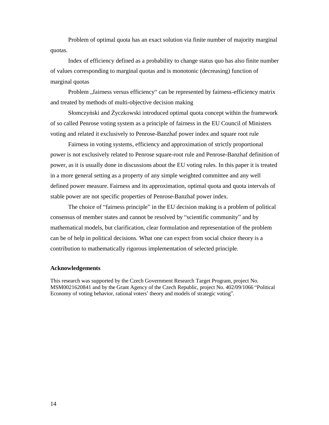Problem of optimal quota has an exact solution via finite number of majority marginal quotas.

Index of efficiency defined as a probability to change status quo has also finite number of values corresponding to marginal quotas and is monotonic (decreasing) function of marginal quotas

Problem "fairness versus efficiency" can be represented by fairness-efficiency matrix and treated by methods of multi-objective decision making

Słomczyński and Życzkowski introduced optimal quota concept within the framework of so called Penrose voting system as a principle of fairness in the EU Council of Ministers voting and related it exclusively to Penrose-Banzhaf power index and square root rule

Fairness in voting systems, efficiency and approximation of strictly proportional power is not exclusively related to Penrose square-root rule and Penrose-Banzhaf definition of power, as it is usually done in discussions about the EU voting rules. In this paper it is treated in a more general setting as a property of any simple weighted committee and any well defined power measure. Fairness and its approximation, optimal quota and quota intervals of stable power are not specific properties of Penrose-Banzhaf power index.

The choice of "fairness principle" in the EU decision making is a problem of political consensus of member states and cannot be resolved by " scientific community" and by mathematical models, but clarification, clear formulation and representation of the problem can be of help in political decisions. What one can expect from social choice theory is a contribution to mathematically rigorous implementation of selected principle.

#### **Acknowledgements**

This research was supported by the Czech Government Research Target Program, project No. MSM0021620841 and by the Grant Agency of the Czech Republic, project No. 402/09/1066 " Political Economy of voting behavior, rational voters' theory and models of strategic voting".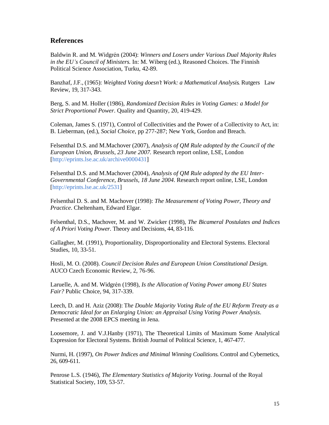#### **References**

Baldwin R. and M. Widgrén (2004): *Winners and Losers under Various Dual Majority Rules in the EU's Council of Ministers.* In: M. Wiberg (ed.), Reasoned Choices. The Finnish Political Science Association, Turku, 42-89.

Banzhaf, J.F., (1965): *Weighted Voting doesn't Work: a Mathematical Analysis*. Rutgers Law Review, 19, 317-343.

Berg, S. and M. Holler (1986), *Randomized Decision Rules in Voting Games: a Model for Strict Proportional Power*. Quality and Quantity, 20, 419-429.

Coleman, James S. (1971), Control of Collectivities and the Power of a Collectivity to Act, in: B. Lieberman, (ed.), *Social Choice*, pp 277-287; New York, Gordon and Breach.

Felsenthal D.S. and M.Machover (2007), *Analysis of QM Rule adopted by the Council of the European Union, Brussels, 23 June 2007.* Research report online, LSE, London [http://eprints.lse.ac.uk/archive0000431]

Felsenthal D.S. and M.Machover (2004), *Analysis of QM Rule adopted by the EU Inter-Governmental Conference, Brussels, 18 June 2004*. Research report online, LSE, London [http://eprints.lse.ac.uk/2531]

Felsenthal D. S. and M. Machover (1998): *The Measurement of Voting Power, Theory and Practice*. Cheltenham, Edward Elgar.

Felsenthal, D.S., Machover, M. and W. Zwicker (1998), *The Bicameral Postulates and Indices of A Priori Voting Power*. Theory and Decisions, 44, 83-116.

Gallagher, M. (1991), Proportionality, Disproportionality and Electoral Systems. Electoral Studies, 10, 33-51.

Hosli, M. O. (2008). *Council Decision Rules and European Union Constitutional Design*. AUCO Czech Economic Review, 2, 76-96.

Laruelle, A. and M. Widgrén (1998), *Is the Allocation of Voting Power among EU States Fair?* Public Choice, 94, 317-339.

Leech, D. and H. Aziz (2008): T*he Double Majority Voting Rule of the EU Reform Treaty as a Democratic Ideal for an Enlarging Union: an Appraisal Using Voting Power Analysis*. Presented at the 2008 EPCS meeting in Jena.

Loosemore, J. and V.J.Hanby (1971), The Theoretical Limits of Maximum Some Analytical Expression for Electoral Systems. British Journal of Political Science, 1, 467-477.

Nurmi, H. (1997), *On Power Indices and Minimal Winning Coalitions*. Control and Cybernetics, 26, 609-611.

Penrose L.S. (1946), *The Elementary Statistics of Majority Voting*. Journal of the Royal Statistical Society, 109, 53-57.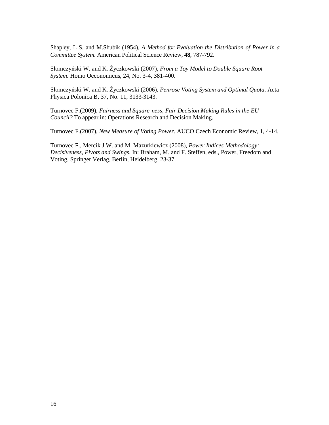Shapley, L S. and M.Shubik (1954), *A Method for Evaluation the Distribution of Power in a Committee System*. American Political Science Review, **48**, 787-792.

Słomczyński W. and K. Życzkowski (2007), *From a Toy Model to Double Square Root System.* Homo Oeconomicus, 24, No. 3-4, 381-400.

Słomczyński W. and K. Życzkowski (2006), *Penrose Voting System and Optimal Quota*. Acta Physica Polonica B, 37, No. 11, 3133-3143.

Turnovec F.(2009), *Fairness and Square-ness, Fair Decision Making Rules in the EU Council?* To appear in: Operations Research and Decision Making.

Turnovec F.(2007), *New Measure of Voting Power*. AUCO Czech Economic Review, 1, 4-14.

Turnovec F., Mercik J.W. and M. Mazurkiewicz (2008), *Power Indices Methodology: Decisiveness, Pivots and Swings*. In: Braham, M. and F. Steffen, eds., Power, Freedom and Voting, Springer Verlag, Berlin, Heidelberg, 23-37.